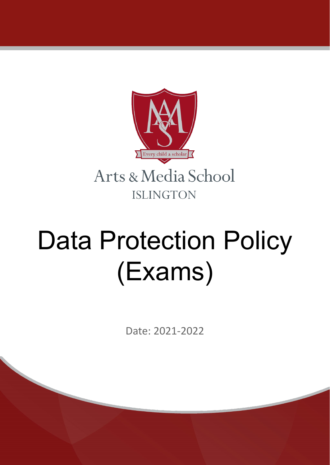

# Data Protection Policy (Exams)

Date: 2021-2022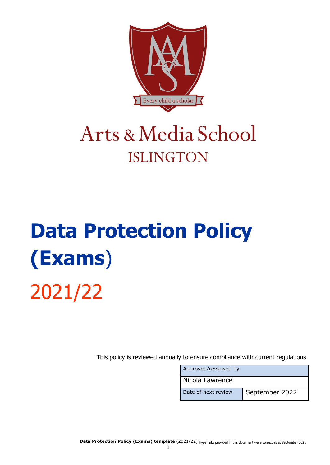

# Arts & Media School **ISLINGTON**

# **Data Protection Policy (Exams**) 2021/22

This policy is reviewed annually to ensure compliance with current regulations

| Approved/reviewed by |                |
|----------------------|----------------|
| Nicola Lawrence      |                |
| Date of next review  | September 2022 |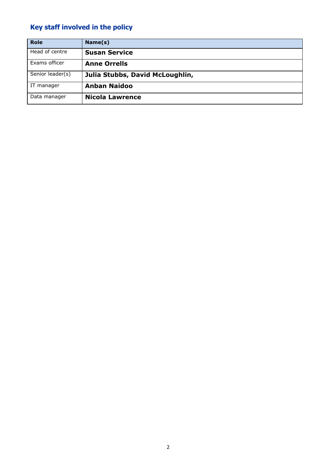# **Key staff involved in the policy**

| <b>Role</b>      | Name(s)                         |
|------------------|---------------------------------|
| Head of centre   | <b>Susan Service</b>            |
| Exams officer    | <b>Anne Orrells</b>             |
| Senior leader(s) | Julia Stubbs, David McLoughlin, |
| IT manager       | <b>Anban Naidoo</b>             |
| Data manager     | <b>Nicola Lawrence</b>          |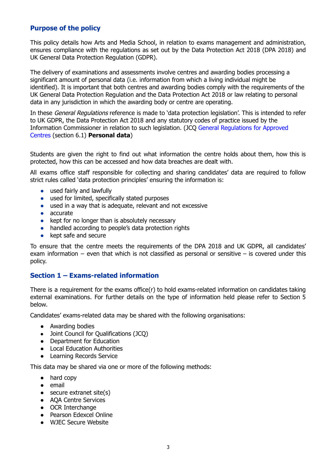# **Purpose of the policy**

This policy details how Arts and Media School, in relation to exams management and administration, ensures compliance with the regulations as set out by the Data Protection Act 2018 (DPA 2018) and UK General Data Protection Regulation (GDPR).

The delivery of examinations and assessments involve centres and awarding bodies processing a significant amount of personal data (i.e. information from which a living individual might be identified). It is important that both centres and awarding bodies comply with the requirements of the UK General Data Protection Regulation and the Data Protection Act 2018 or law relating to personal data in any jurisdiction in which the awarding body or centre are operating.

In these General Regulations reference is made to 'data protection legislation'. This is intended to refer to UK GDPR, the Data Protection Act 2018 and any statutory codes of practice issued by the Information Commissioner in relation to such legislation. (JCQ General [Regulations](https://www.jcq.org.uk/exams-office/general-regulations/) for Approved [Centres](https://www.jcq.org.uk/exams-office/general-regulations/) (section 6.1) **Personal data**)

Students are given the right to find out what information the centre holds about them, how this is protected, how this can be accessed and how data breaches are dealt with.

All exams office staff responsible for collecting and sharing candidates' data are required to follow strict rules called 'data protection principles' ensuring the information is:

- used fairly and lawfully
- used for limited, specifically stated purposes
- used in a way that is adequate, relevant and not excessive
- accurate
- kept for no longer than is absolutely necessary
- handled according to people's data protection rights
- kept safe and secure

To ensure that the centre meets the requirements of the DPA 2018 and UK GDPR, all candidates' exam information – even that which is not classified as personal or sensitive – is covered under this policy.

# **Section 1 – Exams-related information**

There is a requirement for the exams office(r) to hold exams-related information on candidates taking external examinations. For further details on the type of information held please refer to Section 5 below.

Candidates' exams-related data may be shared with the following organisations:

- Awarding bodies
- Joint Council for Qualifications (JCQ)
- Department for Education
- Local Education Authorities
- Learning Records Service

This data may be shared via one or more of the following methods:

- hard copy
- email
- secure extranet site(s)
- AQA Centre Services
- OCR Interchange
- Pearson Edexcel Online
- WJEC Secure Website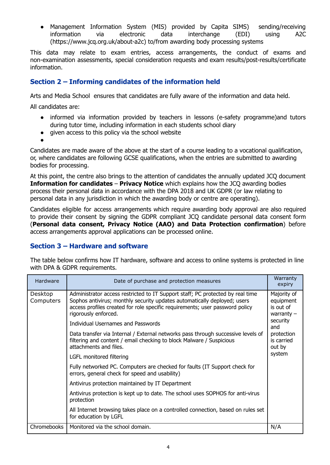● Management Information System (MIS) provided by Capita SIMS) sending/receiving information via electronic data interchange (EDI) using A2C ([https://www.jcq.org.uk/about-a2c\)](https://www.jcq.org.uk/about-a2c) to/from awarding body processing systems

This data may relate to exam entries, access arrangements, the conduct of exams and non-examination assessments, special consideration requests and exam results/post-results/certificate information.

# **Section 2 – Informing candidates of the information held**

Arts and Media School ensures that candidates are fully aware of the information and data held.

All candidates are:

- informed via information provided by teachers in lessons (e-safety programme)and tutors during tutor time, including information in each students school diary
- given access to this policy via the school website
- ●

Candidates are made aware of the above at the start of a course leading to a vocational qualification, or, where candidates are following GCSE qualifications, when the entries are submitted to awarding bodies for processing.

At this point, the centre also brings to the attention of candidates the annually updated JCQ document **Information for candidates** – **Privacy Notice** which explains how the JCQ awarding bodies process their personal data in accordance with the DPA 2018 and UK GDPR (or law relating to personal data in any jurisdiction in which the awarding body or centre are operating).

Candidates eligible for access arrangements which require awarding body approval are also required to provide their consent by signing the GDPR compliant JCQ candidate personal data consent form (**Personal data consent, Privacy Notice (AAO) and Data Protection confirmation**) before access arrangements approval applications can be processed online.

# **Section 3 – Hardware and software**

The table below confirms how IT hardware, software and access to online systems is protected in line with DPA & GDPR requirements.

| Hardware             | Date of purchase and protection measures                                                                                                                                                                                                                           | Warranty<br>expiry                                                |
|----------------------|--------------------------------------------------------------------------------------------------------------------------------------------------------------------------------------------------------------------------------------------------------------------|-------------------------------------------------------------------|
| Desktop<br>Computers | Administrator access restricted to IT Support staff; PC protected by real time<br>Sophos antivirus; monthly security updates automatically deployed; users<br>access profiles created for role specific requirements; user password policy<br>rigorously enforced. | Majority of<br>equipment<br>is out of<br>warranty $-$<br>security |
|                      | <b>Individual Usernames and Passwords</b>                                                                                                                                                                                                                          | and                                                               |
|                      | Data transfer via Internal / External networks pass through successive levels of<br>filtering and content / email checking to block Malware / Suspicious<br>attachments and files.<br>LGFL monitored filtering                                                     |                                                                   |
|                      |                                                                                                                                                                                                                                                                    |                                                                   |
|                      | Fully networked PC. Computers are checked for faults (IT Support check for<br>errors, general check for speed and usability)                                                                                                                                       |                                                                   |
|                      | Antivirus protection maintained by IT Department                                                                                                                                                                                                                   |                                                                   |
|                      | Antivirus protection is kept up to date. The school uses SOPHOS for anti-virus<br>protection                                                                                                                                                                       |                                                                   |
|                      | All Internet browsing takes place on a controlled connection, based on rules set<br>for education by LGFL                                                                                                                                                          |                                                                   |
| Chromebooks          | Monitored via the school domain.                                                                                                                                                                                                                                   | N/A                                                               |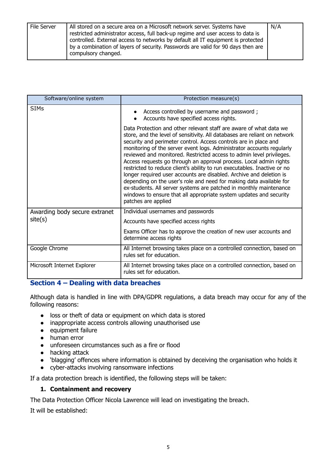| File Server | All stored on a secure area on a Microsoft network server. Systems have<br>restricted administrator access, full back-up regime and user access to data is<br>controlled. External access to networks by default all IT equipment is protected<br>by a combination of layers of security. Passwords are valid for 90 days then are<br>compulsory changed. | N/A |
|-------------|-----------------------------------------------------------------------------------------------------------------------------------------------------------------------------------------------------------------------------------------------------------------------------------------------------------------------------------------------------------|-----|
|-------------|-----------------------------------------------------------------------------------------------------------------------------------------------------------------------------------------------------------------------------------------------------------------------------------------------------------------------------------------------------------|-----|

| Software/online system        | Protection measure(s)                                                                                                                                                                                                                                                                                                                                                                                                                                                                                                                                                                                                                                                                                                                                                                                                                   |
|-------------------------------|-----------------------------------------------------------------------------------------------------------------------------------------------------------------------------------------------------------------------------------------------------------------------------------------------------------------------------------------------------------------------------------------------------------------------------------------------------------------------------------------------------------------------------------------------------------------------------------------------------------------------------------------------------------------------------------------------------------------------------------------------------------------------------------------------------------------------------------------|
| <b>SIMs</b>                   | • Access controlled by username and password;<br>Accounts have specified access rights.                                                                                                                                                                                                                                                                                                                                                                                                                                                                                                                                                                                                                                                                                                                                                 |
|                               | Data Protection and other relevant staff are aware of what data we<br>store, and the level of sensitivity. All databases are reliant on network<br>security and perimeter control. Access controls are in place and<br>monitoring of the server event logs. Administrator accounts regularly<br>reviewed and monitored. Restricted access to admin level privileges.<br>Access requests go through an approval process. Local admin rights<br>restricted to reduce client's ability to run executables. Inactive or no<br>longer required user accounts are disabled. Archive and deletion is<br>depending on the user's role and need for making data available for<br>ex-students. All server systems are patched in monthly maintenance<br>windows to ensure that all appropriate system updates and security<br>patches are applied |
| Awarding body secure extranet | Individual usernames and passwords                                                                                                                                                                                                                                                                                                                                                                                                                                                                                                                                                                                                                                                                                                                                                                                                      |
| site(s)                       | Accounts have specified access rights                                                                                                                                                                                                                                                                                                                                                                                                                                                                                                                                                                                                                                                                                                                                                                                                   |
|                               | Exams Officer has to approve the creation of new user accounts and<br>determine access rights                                                                                                                                                                                                                                                                                                                                                                                                                                                                                                                                                                                                                                                                                                                                           |
| Google Chrome                 | All Internet browsing takes place on a controlled connection, based on<br>rules set for education.                                                                                                                                                                                                                                                                                                                                                                                                                                                                                                                                                                                                                                                                                                                                      |
| Microsoft Internet Explorer   | All Internet browsing takes place on a controlled connection, based on<br>rules set for education.                                                                                                                                                                                                                                                                                                                                                                                                                                                                                                                                                                                                                                                                                                                                      |

# **Section 4 – Dealing with data breaches**

Although data is handled in line with DPA/GDPR regulations, a data breach may occur for any of the following reasons:

- loss or theft of data or equipment on which data is stored
- inappropriate access controls allowing unauthorised use
- equipment failure
- human error
- unforeseen circumstances such as a fire or flood
- hacking attack
- 'blagging' offences where information is obtained by deceiving the organisation who holds it
- cyber-attacks involving ransomware infections

If a data protection breach is identified, the following steps will be taken:

#### **1. Containment and recovery**

The Data Protection Officer Nicola Lawrence will lead on investigating the breach.

It will be established: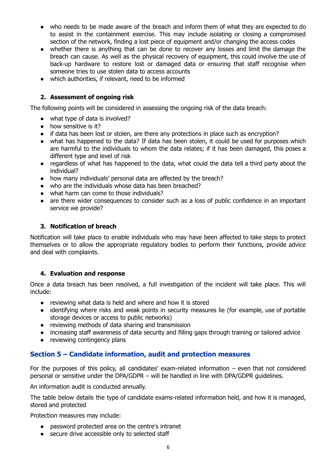- who needs to be made aware of the breach and inform them of what they are expected to do to assist in the containment exercise. This may include isolating or closing a compromised section of the network, finding a lost piece of equipment and/or changing the access codes
- whether there is anything that can be done to recover any losses and limit the damage the breach can cause. As well as the physical recovery of equipment, this could involve the use of back-up hardware to restore lost or damaged data or ensuring that staff recognise when someone tries to use stolen data to access accounts
- which authorities, if relevant, need to be informed

#### **2. Assessment of ongoing risk**

The following points will be considered in assessing the ongoing risk of the data breach:

- what type of data is involved?
- how sensitive is it?
- if data has been lost or stolen, are there any protections in place such as encryption?
- what has happened to the data? If data has been stolen, it could be used for purposes which are harmful to the individuals to whom the data relates; if it has been damaged, this poses a different type and level of risk
- regardless of what has happened to the data, what could the data tell a third party about the individual?
- how many individuals' personal data are affected by the breach?
- who are the individuals whose data has been breached?
- what harm can come to those individuals?
- are there wider consequences to consider such as a loss of public confidence in an important service we provide?

#### **3. Notification of breach**

Notification will take place to enable individuals who may have been affected to take steps to protect themselves or to allow the appropriate regulatory bodies to perform their functions, provide advice and deal with complaints.

#### **4. Evaluation and response**

Once a data breach has been resolved, a full investigation of the incident will take place. This will include:

- reviewing what data is held and where and how it is stored
- identifying where risks and weak points in security measures lie (for example, use of portable storage devices or access to public networks)
- reviewing methods of data sharing and transmission
- increasing staff awareness of data security and filling gaps through training or tailored advice
- reviewing contingency plans

# **Section 5 – Candidate information, audit and protection measures**

For the purposes of this policy, all candidates' exam-related information – even that not considered personal or sensitive under the DPA/GDPR – will be handled in line with DPA/GDPR guidelines.

An information audit is conducted annually.

The table below details the type of candidate exams-related information held, and how it is managed, stored and protected

Protection measures may include:

- password protected area on the centre's intranet
- secure drive accessible only to selected staff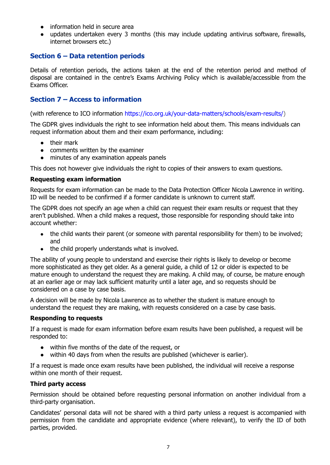- information held in secure area
- updates undertaken every 3 months (this may include updating antivirus software, firewalls, internet browsers etc.)

#### **Section 6 – Data retention periods**

Details of retention periods, the actions taken at the end of the retention period and method of disposal are contained in the centre's Exams Archiving Policy which is available/accessible from the Exams Officer.

#### **Section 7 – Access to information**

(with reference to ICO information [https://ico.org.uk/your-data-matters/schools/exam-results/\)](https://ico.org.uk/your-data-matters/schools/exam-results/)

The GDPR gives individuals the right to see information held about them. This means individuals can request information about them and their exam performance, including:

- their mark
- comments written by the examiner
- minutes of any examination appeals panels

This does not however give individuals the right to copies of their answers to exam questions.

#### **Requesting exam information**

Requests for exam information can be made to the Data Protection Officer Nicola Lawrence in writing. ID will be needed to be confirmed if a former candidate is unknown to current staff.

The GDPR does not specify an age when a child can request their exam results or request that they aren't published. When a child makes a request, those responsible for responding should take into account whether:

- the child wants their parent (or someone with parental responsibility for them) to be involved; and
- the child properly understands what is involved.

The ability of young people to understand and exercise their rights is likely to develop or become more sophisticated as they get older. As a general guide, a child of 12 or older is expected to be mature enough to understand the request they are making. A child may, of course, be mature enough at an earlier age or may lack sufficient maturity until a later age, and so requests should be considered on a case by case basis.

A decision will be made by Nicola Lawrence as to whether the student is mature enough to understand the request they are making, with requests considered on a case by case basis.

#### **Responding to requests**

If a request is made for exam information before exam results have been published, a request will be responded to:

- within five months of the date of the request, or
- within 40 days from when the results are published (whichever is earlier).

If a request is made once exam results have been published, the individual will receive a response within one month of their request.

#### **Third party access**

Permission should be obtained before requesting personal information on another individual from a third-party organisation.

Candidates' personal data will not be shared with a third party unless a request is accompanied with permission from the candidate and appropriate evidence (where relevant), to verify the ID of both parties, provided.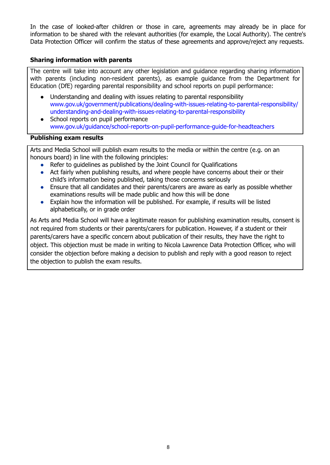In the case of looked-after children or those in care, agreements may already be in place for information to be shared with the relevant authorities (for example, the Local Authority). The centre's Data Protection Officer will confirm the status of these agreements and approve/reject any requests.

#### **Sharing information with parents**

The centre will take into account any other legislation and guidance regarding sharing information with parents (including non-resident parents), as example guidance from the Department for Education (DfE) regarding parental responsibility and school reports on pupil performance:

- Understanding and dealing with issues relating to parental responsibility [www.gov.uk/government/publications/dealing-with-issues-relating-to-parental-responsibility/](https://www.gov.uk/government/publications/dealing-with-issues-relating-to-parental-responsibility/understanding-and-dealing-with-issues-relating-to-parental-responsibility) [understanding-and-dealing-with-issues-relating-to-parental-responsibility](https://www.gov.uk/government/publications/dealing-with-issues-relating-to-parental-responsibility/understanding-and-dealing-with-issues-relating-to-parental-responsibility)
- School reports on pupil performance [www.gov.uk/guidance/school-reports-on-pupil-performance-guide-for-headteachers](http://www.gov.uk/guidance/school-reports-on-pupil-performance-guide-for-headteachers)

#### **Publishing exam results**

Arts and Media School will publish exam results to the media or within the centre (e.g. on an honours board) in line with the following principles:

- Refer to guidelines as published by the Joint Council for Qualifications
- Act fairly when publishing results, and where people have concerns about their or their child's information being published, taking those concerns seriously
- Ensure that all candidates and their parents/carers are aware as early as possible whether examinations results will be made public and how this will be done
- Explain how the information will be published. For example, if results will be listed alphabetically, or in grade order

As Arts and Media School will have a legitimate reason for publishing examination results, consent is not required from students or their parents/carers for publication. However, if a student or their parents/carers have a specific concern about publication of their results, they have the right to object. This objection must be made in writing to Nicola Lawrence Data Protection Officer, who will consider the objection before making a decision to publish and reply with a good reason to reject the objection to publish the exam results.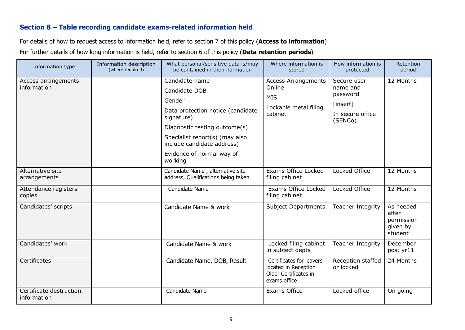### **Section 8 – Table recording candidate exams-related information held**

For details of how to request access to information held, refer to section 7 of this policy (**Access to information**)

For further details of how long information is held, refer to section 6 of this policy (**Data retention periods**)

| Information type                       | Information description<br>(where required) | What personal/sensitive data is/may<br>be contained in the information                                                                                                                                                                | Where information is<br>stored                                                            | How information is<br>protected                                                | Retention<br>period                                     |
|----------------------------------------|---------------------------------------------|---------------------------------------------------------------------------------------------------------------------------------------------------------------------------------------------------------------------------------------|-------------------------------------------------------------------------------------------|--------------------------------------------------------------------------------|---------------------------------------------------------|
| Access arrangements<br>information     |                                             | Candidate name<br>Candidate DOB<br>Gender<br>Data protection notice (candidate<br>signature)<br>Diagnostic testing outcome(s)<br>Specialist report(s) (may also<br>include candidate address)<br>Evidence of normal way of<br>working | <b>Access Arrangements</b><br>Online<br><b>MIS</b><br>Lockable metal filing<br>cabinet    | Secure user<br>name and<br>password<br>[insert]<br>In secure office<br>(SENCo) | 12 Months                                               |
| Alternative site<br>arrangements       |                                             | Candidate Name, alternative site<br>address, Qualifications being taken                                                                                                                                                               | Exams Office Locked<br>filing cabinet                                                     | Locked Office                                                                  | 12 Months                                               |
| Attendance registers<br>copies         |                                             | Candidate Name                                                                                                                                                                                                                        | Exams Office Locked<br>filing cabinet                                                     | Locked Office                                                                  | 12 Months                                               |
| Candidates' scripts                    |                                             | Candidate Name & work                                                                                                                                                                                                                 | <b>Subject Departments</b>                                                                | Teacher Integrity                                                              | As needed<br>after<br>permission<br>given by<br>student |
| Candidates' work                       |                                             | Candidate Name & work                                                                                                                                                                                                                 | Locked filing cabinet<br>in subject depts                                                 | Teacher Integrity                                                              | December<br>post yr11                                   |
| Certificates                           |                                             | Candidate Name, DOB, Result                                                                                                                                                                                                           | Certificates for leavers<br>located in Reception<br>Older Certificates in<br>exams office | Reception staffed<br>or locked                                                 | 24 Months                                               |
| Certificate destruction<br>information |                                             | Candidate Name                                                                                                                                                                                                                        | Exams Office                                                                              | Locked office                                                                  | On going                                                |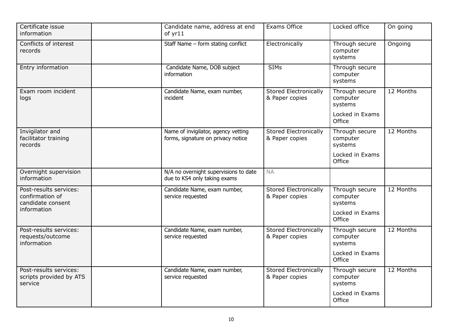| Certificate issue<br>information                               | Candidate name, address at end<br>of yr11                                 | Exams Office                                   | Locked office                         | On going  |
|----------------------------------------------------------------|---------------------------------------------------------------------------|------------------------------------------------|---------------------------------------|-----------|
| Conflicts of interest<br>records                               | Staff Name - form stating conflict                                        | Electronically                                 | Through secure<br>computer<br>systems | Ongoing   |
| Entry information                                              | Candidate Name, DOB subject<br>information                                | <b>SIMs</b>                                    | Through secure<br>computer<br>systems |           |
| Exam room incident<br>logs                                     | Candidate Name, exam number,<br>incident                                  | <b>Stored Electronically</b><br>& Paper copies | Through secure<br>computer<br>systems | 12 Months |
|                                                                |                                                                           |                                                | Locked in Exams<br>Office             |           |
| Invigilator and<br>facilitator training<br>records             | Name of invigilator, agency vetting<br>forms, signature on privacy notice | <b>Stored Electronically</b><br>& Paper copies | Through secure<br>computer<br>systems | 12 Months |
|                                                                |                                                                           |                                                | Locked in Exams<br>Office             |           |
| Overnight supervision<br>information                           | N/A no overnight supervisions to date<br>due to KS4 only taking exams     | <b>NA</b>                                      |                                       |           |
| Post-results services:<br>confirmation of<br>candidate consent | Candidate Name, exam number,<br>service requested                         | <b>Stored Electronically</b><br>& Paper copies | Through secure<br>computer<br>systems | 12 Months |
| information                                                    |                                                                           |                                                | Locked in Exams<br>Office             |           |
| Post-results services:<br>requests/outcome<br>information      | Candidate Name, exam number,<br>service requested                         | <b>Stored Electronically</b><br>& Paper copies | Through secure<br>computer<br>systems | 12 Months |
|                                                                |                                                                           |                                                | Locked in Exams<br>Office             |           |
| Post-results services:<br>scripts provided by ATS<br>service   | Candidate Name, exam number,<br>service requested                         | <b>Stored Electronically</b><br>& Paper copies | Through secure<br>computer<br>systems | 12 Months |
|                                                                |                                                                           |                                                | Locked in Exams<br>Office             |           |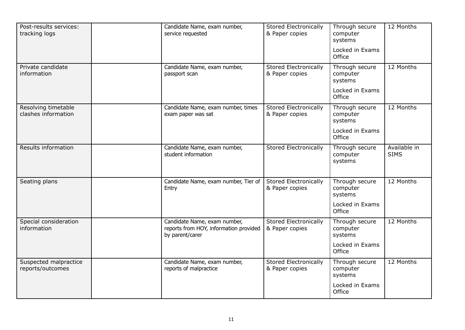| Post-results services:<br>tracking logs    | Candidate Name, exam number,<br>service requested                                         | <b>Stored Electronically</b><br>& Paper copies | Through secure<br>computer<br>systems                    | 12 Months                   |
|--------------------------------------------|-------------------------------------------------------------------------------------------|------------------------------------------------|----------------------------------------------------------|-----------------------------|
|                                            |                                                                                           |                                                | Locked in Exams<br>Office                                |                             |
| Private candidate<br>information           | Candidate Name, exam number,<br>passport scan                                             | Stored Electronically<br>& Paper copies        | Through secure<br>computer<br>systems                    | 12 Months                   |
|                                            |                                                                                           |                                                | Locked in Exams<br>Office                                |                             |
| Resolving timetable<br>clashes information | Candidate Name, exam number, times<br>exam paper was sat                                  | Stored Electronically<br>& Paper copies        | Through secure<br>computer<br>systems                    | 12 Months                   |
|                                            |                                                                                           |                                                | Locked in Exams<br>Office                                |                             |
| Results information                        | Candidate Name, exam number,<br>student information                                       | <b>Stored Electronically</b>                   | Through secure<br>computer<br>systems                    | Available in<br><b>SIMS</b> |
| Seating plans                              | Candidate Name, exam number, Tier of<br>Entry                                             | <b>Stored Electronically</b><br>& Paper copies | Through secure<br>computer<br>systems<br>Locked in Exams | 12 Months                   |
|                                            |                                                                                           |                                                | Office                                                   |                             |
| Special consideration<br>information       | Candidate Name, exam number,<br>reports from HOY, information provided<br>by parent/carer | <b>Stored Electronically</b><br>& Paper copies | Through secure<br>computer<br>systems                    | 12 Months                   |
|                                            |                                                                                           |                                                | Locked in Exams<br>Office                                |                             |
| Suspected malpractice<br>reports/outcomes  | Candidate Name, exam number,<br>reports of malpractice                                    | <b>Stored Electronically</b><br>& Paper copies | Through secure<br>computer<br>systems                    | 12 Months                   |
|                                            |                                                                                           |                                                | Locked in Exams<br>Office                                |                             |